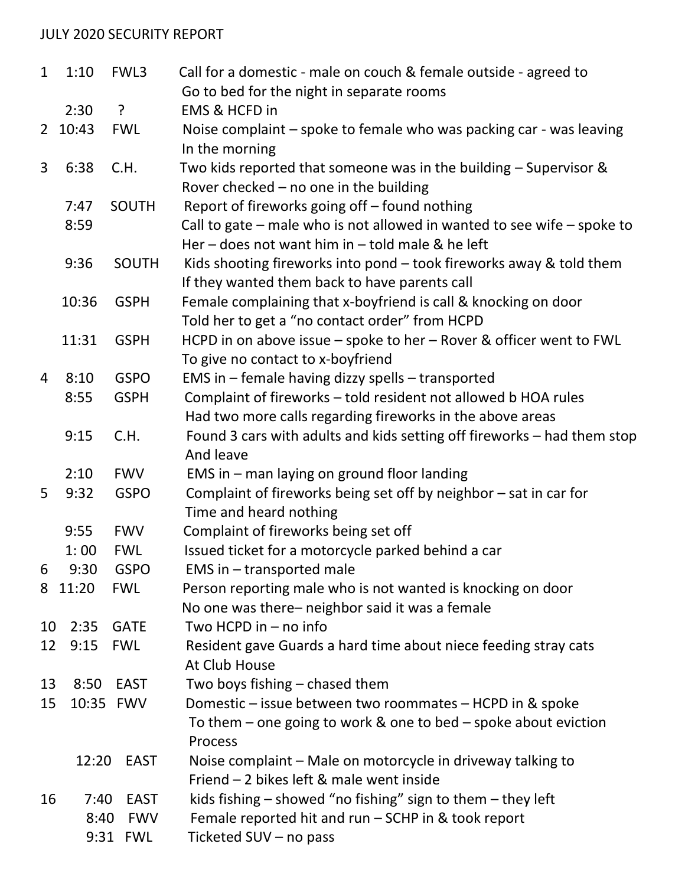## JULY 2020 SECURITY REPORT

| $\mathbf{1}$   | 1:10    | FWL3         | Call for a domestic - male on couch & female outside - agreed to                                                                |
|----------------|---------|--------------|---------------------------------------------------------------------------------------------------------------------------------|
|                |         |              | Go to bed for the night in separate rooms                                                                                       |
|                | 2:30    | $\cdot$      | <b>EMS &amp; HCFD in</b>                                                                                                        |
| $2^{\circ}$    | 10:43   | <b>FWL</b>   | Noise complaint – spoke to female who was packing car - was leaving<br>In the morning                                           |
| 3              | 6:38    | C.H.         | Two kids reported that someone was in the building $-$ Supervisor &<br>Rover checked $-$ no one in the building                 |
|                | 7:47    | SOUTH        | Report of fireworks going off - found nothing                                                                                   |
|                | 8:59    |              | Call to gate $-$ male who is not allowed in wanted to see wife $-$ spoke to<br>Her – does not want him in – told male & he left |
|                | 9:36    | <b>SOUTH</b> | Kids shooting fireworks into pond - took fireworks away & told them<br>If they wanted them back to have parents call            |
|                | 10:36   | <b>GSPH</b>  | Female complaining that x-boyfriend is call & knocking on door<br>Told her to get a "no contact order" from HCPD                |
|                | 11:31   | <b>GSPH</b>  | HCPD in on above issue - spoke to her - Rover & officer went to FWL<br>To give no contact to x-boyfriend                        |
| $\overline{4}$ | 8:10    | <b>GSPO</b>  | EMS in - female having dizzy spells - transported                                                                               |
|                | 8:55    | <b>GSPH</b>  | Complaint of fireworks - told resident not allowed b HOA rules                                                                  |
|                |         |              | Had two more calls regarding fireworks in the above areas                                                                       |
|                | 9:15    | C.H.         | Found 3 cars with adults and kids setting off fireworks - had them stop<br>And leave                                            |
|                | 2:10    | <b>FWV</b>   | EMS in $-$ man laying on ground floor landing                                                                                   |
| 5              | 9:32    | <b>GSPO</b>  | Complaint of fireworks being set off by neighbor - sat in car for<br>Time and heard nothing                                     |
|                | 9:55    | <b>FWV</b>   | Complaint of fireworks being set off                                                                                            |
|                | 1:00    | <b>FWL</b>   | Issued ticket for a motorcycle parked behind a car                                                                              |
| 6              | 9:30    | <b>GSPO</b>  | EMS in $-$ transported male                                                                                                     |
|                | 8 11:20 | <b>FWL</b>   | Person reporting male who is not wanted is knocking on door<br>No one was there- neighbor said it was a female                  |
| 10             | 2:35    | <b>GATE</b>  | Two HCPD in $-$ no info                                                                                                         |
| 12             | 9:15    | <b>FWL</b>   | Resident gave Guards a hard time about niece feeding stray cats<br>At Club House                                                |
| 13             | 8:50    | <b>EAST</b>  | Two boys fishing - chased them                                                                                                  |
| 15             |         | 10:35 FWV    | Domestic – issue between two roommates – HCPD in & spoke<br>To them $-$ one going to work & one to bed $-$ spoke about eviction |
|                |         |              | Process                                                                                                                         |
|                |         | 12:20 EAST   | Noise complaint – Male on motorcycle in driveway talking to<br>Friend - 2 bikes left & male went inside                         |
| 16             | 7:40    | <b>EAST</b>  | kids fishing $-$ showed "no fishing" sign to them $-$ they left                                                                 |
|                | 8:40    | <b>FWV</b>   | Female reported hit and run - SCHP in & took report                                                                             |
|                | 9:31    | <b>FWL</b>   | Ticketed SUV - no pass                                                                                                          |
|                |         |              |                                                                                                                                 |